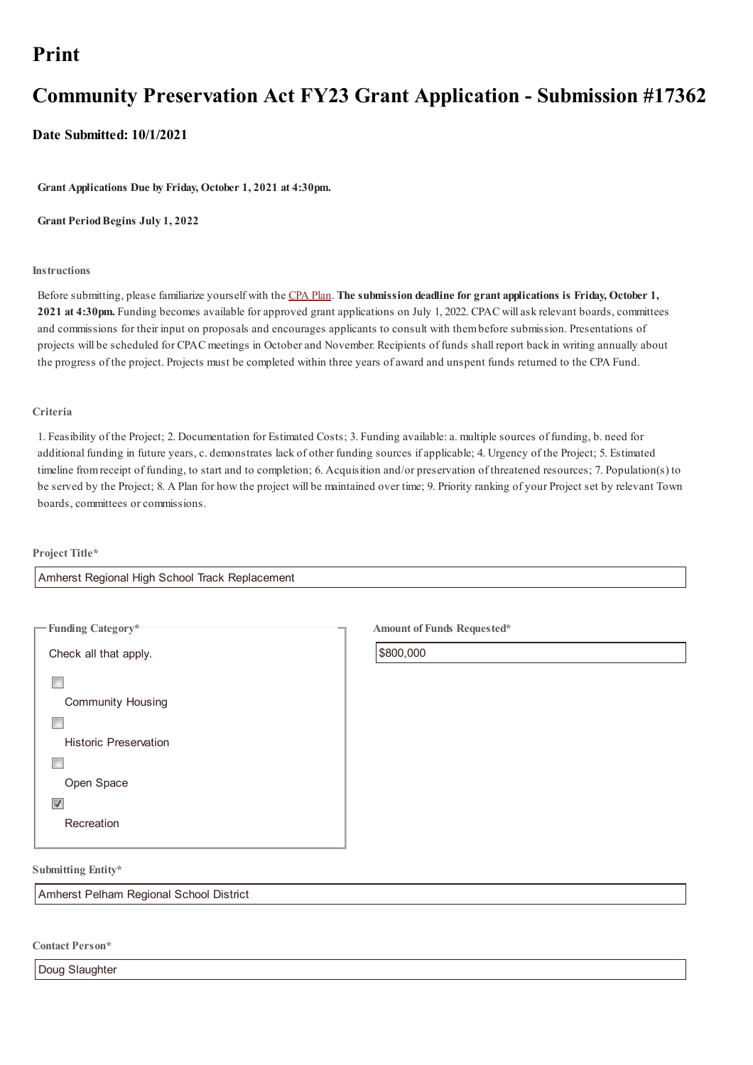# **Community Preservation Act FY23 Grant Application - Submission #17362**

**Date Submitted: 10/1/2021**

**Grant Applications Due by Friday, October 1, 2021 at 4:30pm.**

**Grant PeriodBegins July 1, 2022**

#### **Instructions**

Before submitting, please familiarize yourself with the CPA Plan. **The submission deadline for grant applications is Friday, October 1, 2021 at 4:30pm.** Funding becomes available for approved grant applications on July 1, 2022. CPAC will ask relevant boards, committees and commissions for their input on proposals and encourages applicants to consult with thembefore submission. Presentations of projects will be scheduled for CPAC meetings in October and November. Recipients of funds shall report back in writing annually about the progress of the project. Projects must be completed [within](https://www.amherstma.gov/DocumentCenter/View/55923/CPA-Plan---2021-Revision?bidId=) three years of award and unspent funds returned to the CPA Fund.

#### **Criteria**

1. Feasibility of the Project; 2. Documentation for Estimated Costs; 3. Funding available: a. multiple sources of funding, b. need for additional funding in future years, c. demonstrates lack of other funding sources if applicable; 4. Urgency of the Project; 5. Estimated timeline fromreceipt of funding, to start and to completion; 6. Acquisition and/or preservation of threatened resources; 7. Population(s) to be served by the Project; 8. A Plan for how the project will be maintained over time; 9. Priority ranking of your Project set by relevant Town boards, committees or commissions.

#### **Project Title\***

| <b>Funding Category*</b>     |
|------------------------------|
| Check all that apply.        |
|                              |
| <b>Community Housing</b>     |
|                              |
| <b>Historic Preservation</b> |
|                              |
| Open Space                   |
| ߨ.                           |
| Recreation                   |
|                              |

Amherst Regional High School Track Replacement

**Amount of Funds Requested\***

\$800,000

**Submitting Entity\***

Amherst Pelham Regional School District

**Contact Person\***

Doug Slaughter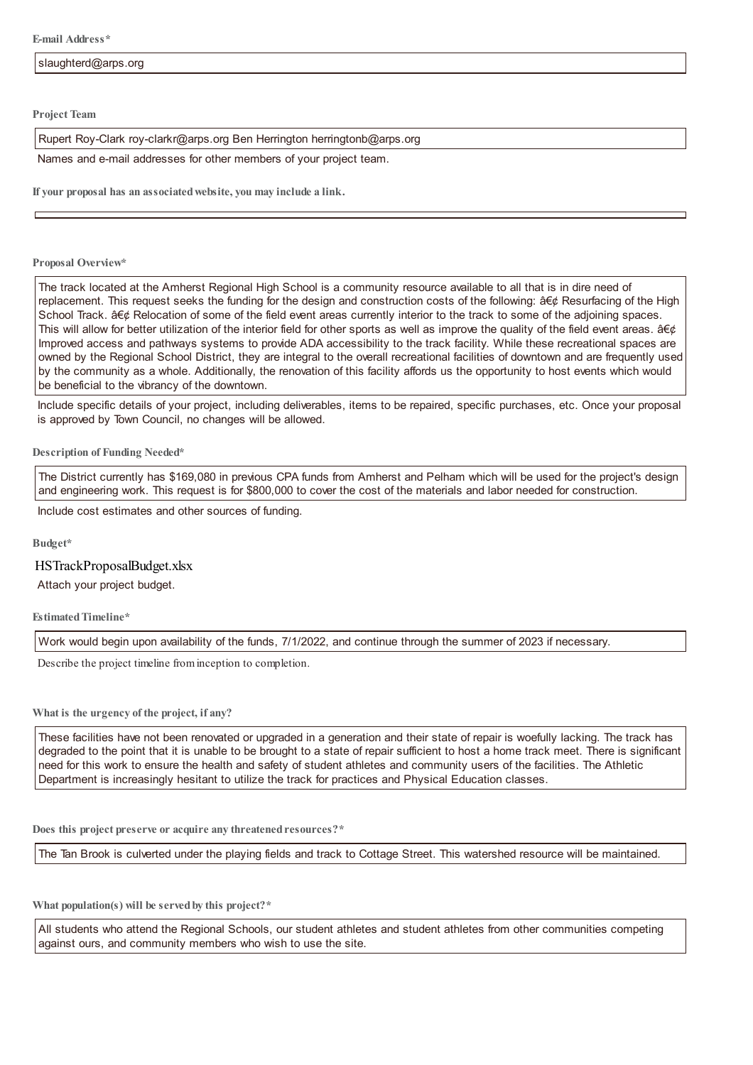**Project Team**

Rupert Roy-Clark roy-clarkr@arps.org Ben Herrington herringtonb@arps.org

Names and e-mail addresses for other members of your project team.

**If your proposal has an associatedwebsite, you may include a link.**

#### **Proposal Overview\***

The track located at the Amherst Regional High School is a community resource available to all that is in dire need of replacement. This request seeks the funding for the design and construction costs of the following: • Resurfacing of the High School Track. • Relocation of some of the field event areas currently interior to the track to some of the adjoining spaces. This will allow for better utilization of the interior field for other sports as well as improve the quality of the field event areas.  $\hat{a}\in\phi$ Improved access and pathways systems to provide ADA accessibility to the track facility. While these recreational spaces are owned by the Regional School District, they are integral to the overall recreational facilities of downtown and are frequently used by the community as a whole. Additionally, the renovation of this facility affords us the opportunity to host events which would be beneficial to the vibrancy of the downtown.

Include specific details of your project, including deliverables, items to be repaired, specific purchases, etc. Once your proposal is approved by Town Council, no changes will be allowed.

#### **Description of Funding Needed\***

The District currently has \$169,080 in previous CPA funds from Amherst and Pelham which will be used for the project's design and engineering work. This request is for \$800,000 to cover the cost of the materials and labor needed for construction.

Include cost estimates and other sources of funding.

**Budget\***

### HSTrackProposalBudget.xlsx

Attach your project budget.

**EstimatedTimeline\***

Work would begin upon availability of the funds, 7/1/2022, and continue through the summer of 2023 if necessary.

Describe the project timeline frominception to completion.

**What is the urgency of the project, if any?**

These facilities have not been renovated or upgraded in a generation and their state of repair is woefully lacking. The track has degraded to the point that it is unable to be brought to a state of repair sufficient to host a home track meet. There is significant need for this work to ensure the health and safety of student athletes and community users of the facilities. The Athletic Department is increasingly hesitant to utilize the track for practices and Physical Education classes.

**Does this project preserve or acquire any threatened resources?\***

The Tan Brook is culverted under the playing fields and track to Cottage Street. This watershed resource will be maintained.

**What population(s) will be served by this project?\***

All students who attend the Regional Schools, our student athletes and student athletes from other communities competing against ours, and community members who wish to use the site.